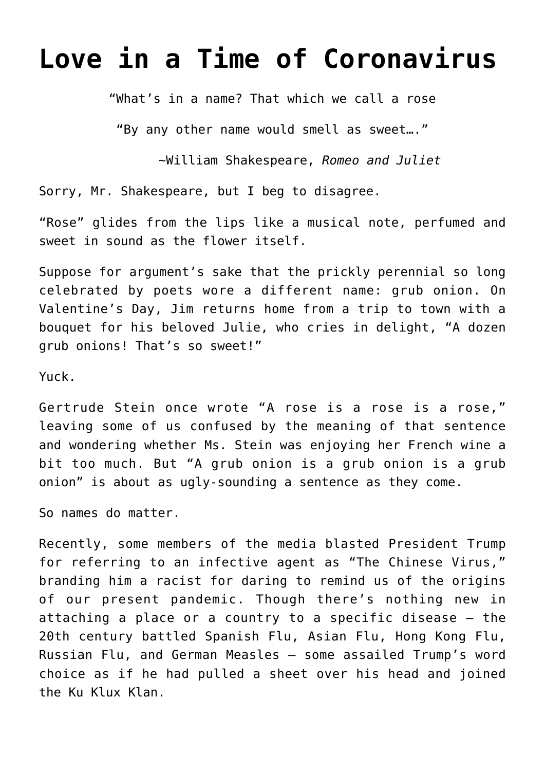## **[Love in a Time of Coronavirus](https://intellectualtakeout.org/2020/03/love-in-a-time-of-coronavirus/)**

"What's in a name? That which we call a rose

"By any other name would smell as sweet…."

~William Shakespeare, *Romeo and Juliet*

Sorry, Mr. Shakespeare, but I beg to disagree.

"Rose" glides from the lips like a musical note, perfumed and sweet in sound as the flower itself.

Suppose for argument's sake that the prickly perennial so long celebrated by poets wore a different name: grub onion. On Valentine's Day, Jim returns home from a trip to town with a bouquet for his beloved Julie, who cries in delight, "A dozen grub onions! That's so sweet!"

Yuck.

Gertrude Stein once wrote "A rose is a rose is a rose," leaving some of us confused by the meaning of that sentence and wondering whether Ms. Stein was enjoying her French wine a bit too much. But "A grub onion is a grub onion is a grub onion" is about as ugly-sounding a sentence as they come.

So names do matter.

Recently, some members of the media blasted President Trump for referring to an infective agent as "The Chinese Virus," branding him a racist for daring to remind us of the origins of our present pandemic. Though there's nothing new in attaching a place or a country to a specific disease – the 20th century battled Spanish Flu, Asian Flu, Hong Kong Flu, Russian Flu, and German Measles – some assailed Trump's word choice as if he had pulled a sheet over his head and joined the Ku Klux Klan.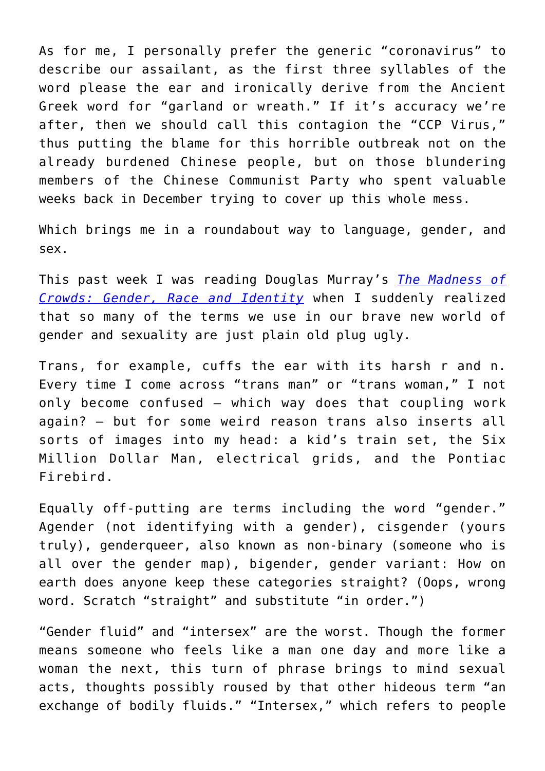As for me, I personally prefer the generic "coronavirus" to describe our assailant, as the first three syllables of the word please the ear and ironically derive from the Ancient Greek word for "garland or wreath." If it's accuracy we're after, then we should call this contagion the "CCP Virus," thus putting the blame for this horrible outbreak not on the already burdened Chinese people, but on those blundering members of the Chinese Communist Party who spent valuable weeks back in December trying to cover up this whole mess.

Which brings me in a roundabout way to language, gender, and sex.

This past week I was reading Douglas Murray's *[The Madness of](https://www.amazon.com/gp/product/1635579988/ref=as_li_qf_asin_il_tl?ie=UTF8&tag=intelltakeo0d-20&creative=9325&linkCode=as2&creativeASIN=1635579988&linkId=b326122d7de0f28353185a7dae048bec) [Crowds: Gender, Race and Identity](https://www.amazon.com/gp/product/1635579988/ref=as_li_qf_asin_il_tl?ie=UTF8&tag=intelltakeo0d-20&creative=9325&linkCode=as2&creativeASIN=1635579988&linkId=b326122d7de0f28353185a7dae048bec)* when I suddenly realized that so many of the terms we use in our brave new world of gender and sexuality are just plain old plug ugly.

Trans, for example, cuffs the ear with its harsh r and n. Every time I come across "trans man" or "trans woman," I not only become confused – which way does that coupling work again? – but for some weird reason trans also inserts all sorts of images into my head: a kid's train set, the Six Million Dollar Man, electrical grids, and the Pontiac Firebird.

Equally off-putting are terms including the word "gender." Agender (not identifying with a gender), cisgender (yours truly), genderqueer, also known as non-binary (someone who is all over the gender map), bigender, gender variant: How on earth does anyone keep these categories straight? (Oops, wrong word. Scratch "straight" and substitute "in order.")

"Gender fluid" and "intersex" are the worst. Though the former means someone who feels like a man one day and more like a woman the next, this turn of phrase brings to mind sexual acts, thoughts possibly roused by that other hideous term "an exchange of bodily fluids." "Intersex," which refers to people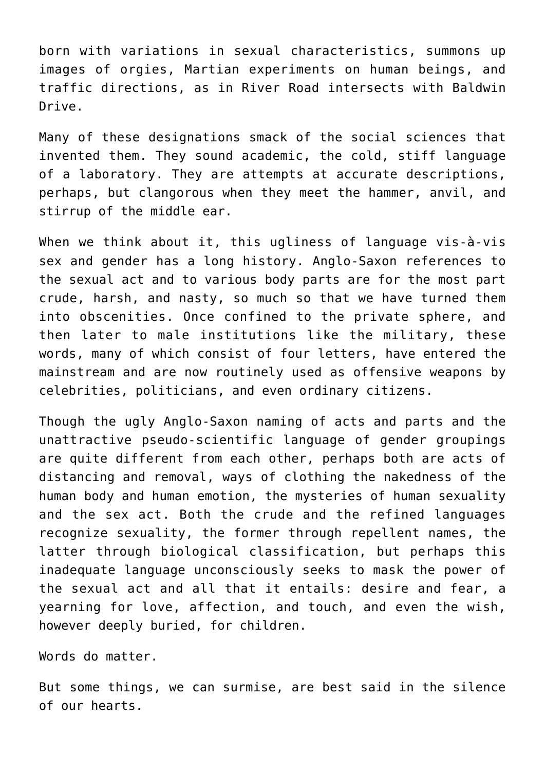born with variations in sexual characteristics, summons up images of orgies, Martian experiments on human beings, and traffic directions, as in River Road intersects with Baldwin Drive.

Many of these designations smack of the social sciences that invented them. They sound academic, the cold, stiff language of a laboratory. They are attempts at accurate descriptions, perhaps, but clangorous when they meet the hammer, anvil, and stirrup of the middle ear.

When we think about it, this ugliness of language vis-à-vis sex and gender has a long history. Anglo-Saxon references to the sexual act and to various body parts are for the most part crude, harsh, and nasty, so much so that we have turned them into obscenities. Once confined to the private sphere, and then later to male institutions like the military, these words, many of which consist of four letters, have entered the mainstream and are now routinely used as offensive weapons by celebrities, politicians, and even ordinary citizens.

Though the ugly Anglo-Saxon naming of acts and parts and the unattractive pseudo-scientific language of gender groupings are quite different from each other, perhaps both are acts of distancing and removal, ways of clothing the nakedness of the human body and human emotion, the mysteries of human sexuality and the sex act. Both the crude and the refined languages recognize sexuality, the former through repellent names, the latter through biological classification, but perhaps this inadequate language unconsciously seeks to mask the power of the sexual act and all that it entails: desire and fear, a yearning for love, affection, and touch, and even the wish, however deeply buried, for children.

Words do matter.

But some things, we can surmise, are best said in the silence of our hearts.